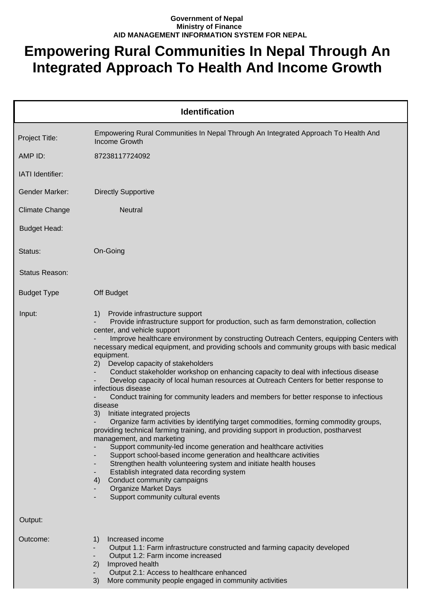## **Government of Nepal Ministry of Finance AID MANAGEMENT INFORMATION SYSTEM FOR NEPAL**

## **Empowering Rural Communities In Nepal Through An Integrated Approach To Health And Income Growth**

|                       | <b>Identification</b>                                                                                                                                                                                                                                                                                                                                                                                                                                                                                                                                                                                                                                                                                                                                                                                                                                                                                                                                                                                                                                                                                                                                                                                                                                                                                                                                |
|-----------------------|------------------------------------------------------------------------------------------------------------------------------------------------------------------------------------------------------------------------------------------------------------------------------------------------------------------------------------------------------------------------------------------------------------------------------------------------------------------------------------------------------------------------------------------------------------------------------------------------------------------------------------------------------------------------------------------------------------------------------------------------------------------------------------------------------------------------------------------------------------------------------------------------------------------------------------------------------------------------------------------------------------------------------------------------------------------------------------------------------------------------------------------------------------------------------------------------------------------------------------------------------------------------------------------------------------------------------------------------------|
| Project Title:        | Empowering Rural Communities In Nepal Through An Integrated Approach To Health And<br><b>Income Growth</b>                                                                                                                                                                                                                                                                                                                                                                                                                                                                                                                                                                                                                                                                                                                                                                                                                                                                                                                                                                                                                                                                                                                                                                                                                                           |
| AMP ID:               | 87238117724092                                                                                                                                                                                                                                                                                                                                                                                                                                                                                                                                                                                                                                                                                                                                                                                                                                                                                                                                                                                                                                                                                                                                                                                                                                                                                                                                       |
| IATI Identifier:      |                                                                                                                                                                                                                                                                                                                                                                                                                                                                                                                                                                                                                                                                                                                                                                                                                                                                                                                                                                                                                                                                                                                                                                                                                                                                                                                                                      |
| <b>Gender Marker:</b> | <b>Directly Supportive</b>                                                                                                                                                                                                                                                                                                                                                                                                                                                                                                                                                                                                                                                                                                                                                                                                                                                                                                                                                                                                                                                                                                                                                                                                                                                                                                                           |
| <b>Climate Change</b> | Neutral                                                                                                                                                                                                                                                                                                                                                                                                                                                                                                                                                                                                                                                                                                                                                                                                                                                                                                                                                                                                                                                                                                                                                                                                                                                                                                                                              |
| <b>Budget Head:</b>   |                                                                                                                                                                                                                                                                                                                                                                                                                                                                                                                                                                                                                                                                                                                                                                                                                                                                                                                                                                                                                                                                                                                                                                                                                                                                                                                                                      |
| Status:               | On-Going                                                                                                                                                                                                                                                                                                                                                                                                                                                                                                                                                                                                                                                                                                                                                                                                                                                                                                                                                                                                                                                                                                                                                                                                                                                                                                                                             |
| Status Reason:        |                                                                                                                                                                                                                                                                                                                                                                                                                                                                                                                                                                                                                                                                                                                                                                                                                                                                                                                                                                                                                                                                                                                                                                                                                                                                                                                                                      |
| <b>Budget Type</b>    | Off Budget                                                                                                                                                                                                                                                                                                                                                                                                                                                                                                                                                                                                                                                                                                                                                                                                                                                                                                                                                                                                                                                                                                                                                                                                                                                                                                                                           |
| Input:                | Provide infrastructure support<br>1)<br>Provide infrastructure support for production, such as farm demonstration, collection<br>center, and vehicle support<br>Improve healthcare environment by constructing Outreach Centers, equipping Centers with<br>necessary medical equipment, and providing schools and community groups with basic medical<br>equipment.<br>Develop capacity of stakeholders<br>(2)<br>Conduct stakeholder workshop on enhancing capacity to deal with infectious disease<br>Develop capacity of local human resources at Outreach Centers for better response to<br>infectious disease<br>Conduct training for community leaders and members for better response to infectious<br>disease<br>3)<br>Initiate integrated projects<br>Organize farm activities by identifying target commodities, forming commodity groups,<br>providing technical farming training, and providing support in production, postharvest<br>management, and marketing<br>Support community-led income generation and healthcare activities<br>Support school-based income generation and healthcare activities<br>Strengthen health volunteering system and initiate health houses<br>Establish integrated data recording system<br>Conduct community campaigns<br>4)<br><b>Organize Market Days</b><br>Support community cultural events<br>٠ |
| Output:<br>Outcome:   | Increased income<br>1)<br>Output 1.1: Farm infrastructure constructed and farming capacity developed<br>-<br>Output 1.2: Farm income increased<br>۰.<br>Improved health<br>2)<br>Output 2.1: Access to healthcare enhanced<br>3)<br>More community people engaged in community activities                                                                                                                                                                                                                                                                                                                                                                                                                                                                                                                                                                                                                                                                                                                                                                                                                                                                                                                                                                                                                                                            |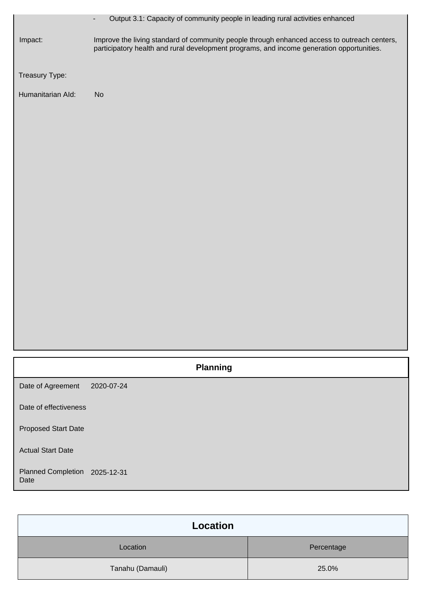|                                       | Output 3.1: Capacity of community people in leading rural activities enhanced<br>$\overline{\phantom{a}}$                                                                                 |
|---------------------------------------|-------------------------------------------------------------------------------------------------------------------------------------------------------------------------------------------|
| Impact:                               | Improve the living standard of community people through enhanced access to outreach centers,<br>participatory health and rural development programs, and income generation opportunities. |
| Treasury Type:                        |                                                                                                                                                                                           |
| Humanitarian Ald:                     | No                                                                                                                                                                                        |
|                                       |                                                                                                                                                                                           |
|                                       |                                                                                                                                                                                           |
|                                       |                                                                                                                                                                                           |
|                                       |                                                                                                                                                                                           |
|                                       |                                                                                                                                                                                           |
|                                       |                                                                                                                                                                                           |
|                                       |                                                                                                                                                                                           |
|                                       |                                                                                                                                                                                           |
|                                       |                                                                                                                                                                                           |
|                                       |                                                                                                                                                                                           |
|                                       |                                                                                                                                                                                           |
|                                       |                                                                                                                                                                                           |
|                                       |                                                                                                                                                                                           |
|                                       | <b>Planning</b>                                                                                                                                                                           |
| Date of Agreement                     | 2020-07-24                                                                                                                                                                                |
| Date of effectiveness                 |                                                                                                                                                                                           |
| <b>Proposed Start Date</b>            |                                                                                                                                                                                           |
| <b>Actual Start Date</b>              |                                                                                                                                                                                           |
| Planned Completion 2025-12-31<br>Date |                                                                                                                                                                                           |

| <b>Location</b>  |            |
|------------------|------------|
| Location         | Percentage |
| Tanahu (Damauli) | 25.0%      |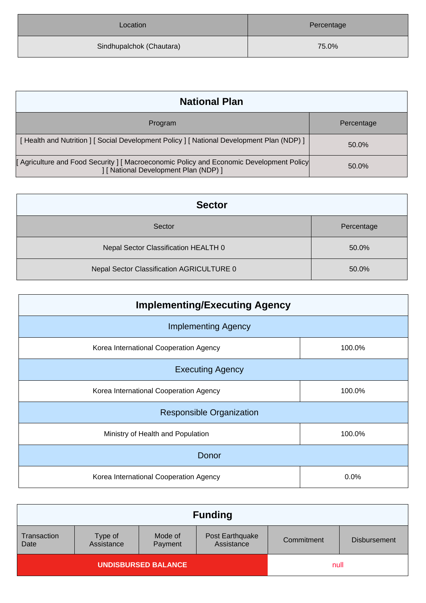| Location                 | Percentage |
|--------------------------|------------|
| Sindhupalchok (Chautara) | 75.0%      |

| <b>National Plan</b>                                                                                                          |            |
|-------------------------------------------------------------------------------------------------------------------------------|------------|
| Program                                                                                                                       | Percentage |
| [Health and Nutrition ] [Social Development Policy ] [National Development Plan (NDP) ]                                       | 50.0%      |
| [Agriculture and Food Security ] [Macroeconomic Policy and Economic Development Policy<br>[ National Development Plan (NDP) ] | 50.0%      |

| <b>Sector</b>                             |            |
|-------------------------------------------|------------|
| Sector                                    | Percentage |
| Nepal Sector Classification HEALTH 0      | 50.0%      |
| Nepal Sector Classification AGRICULTURE 0 | 50.0%      |

| <b>Implementing/Executing Agency</b>   |        |  |
|----------------------------------------|--------|--|
| <b>Implementing Agency</b>             |        |  |
| Korea International Cooperation Agency | 100.0% |  |
| <b>Executing Agency</b>                |        |  |
| Korea International Cooperation Agency | 100.0% |  |
| <b>Responsible Organization</b>        |        |  |
| Ministry of Health and Population      | 100.0% |  |
| Donor                                  |        |  |
| Korea International Cooperation Agency | 0.0%   |  |

|                            |                       |                    | <b>Funding</b>                |            |                     |
|----------------------------|-----------------------|--------------------|-------------------------------|------------|---------------------|
| Transaction<br>Date        | Type of<br>Assistance | Mode of<br>Payment | Post Earthquake<br>Assistance | Commitment | <b>Disbursement</b> |
| <b>UNDISBURSED BALANCE</b> |                       |                    | null                          |            |                     |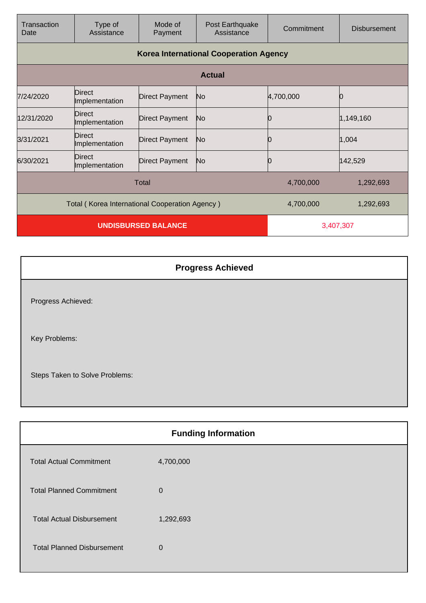| Transaction<br>Date | Type of<br>Assistance                          | Mode of<br>Payment    | Post Earthquake<br>Assistance                 | Commitment | <b>Disbursement</b> |
|---------------------|------------------------------------------------|-----------------------|-----------------------------------------------|------------|---------------------|
|                     |                                                |                       | <b>Korea International Cooperation Agency</b> |            |                     |
|                     |                                                |                       | <b>Actual</b>                                 |            |                     |
| 7/24/2020           | Direct<br>Implementation                       | <b>Direct Payment</b> | No                                            | 4,700,000  |                     |
| 12/31/2020          | Direct<br>Implementation                       | <b>Direct Payment</b> | No                                            | Ŋ          | 1,149,160           |
| 3/31/2021           | Direct<br>Implementation                       | <b>Direct Payment</b> | No                                            |            | 1,004               |
| 6/30/2021           | Direct<br>Implementation                       | <b>Direct Payment</b> | No                                            | 0          | 142,529             |
|                     |                                                | Total                 |                                               | 4,700,000  | 1,292,693           |
|                     | Total (Korea International Cooperation Agency) |                       |                                               | 4,700,000  | 1,292,693           |
|                     | <b>UNDISBURSED BALANCE</b>                     |                       | 3,407,307                                     |            |                     |

|                                | <b>Progress Achieved</b> |
|--------------------------------|--------------------------|
| Progress Achieved:             |                          |
| Key Problems:                  |                          |
| Steps Taken to Solve Problems: |                          |

| <b>Funding Information</b> |  |  |
|----------------------------|--|--|
| 4,700,000                  |  |  |
| $\mathbf 0$                |  |  |
| 1,292,693                  |  |  |
| $\Omega$                   |  |  |
|                            |  |  |